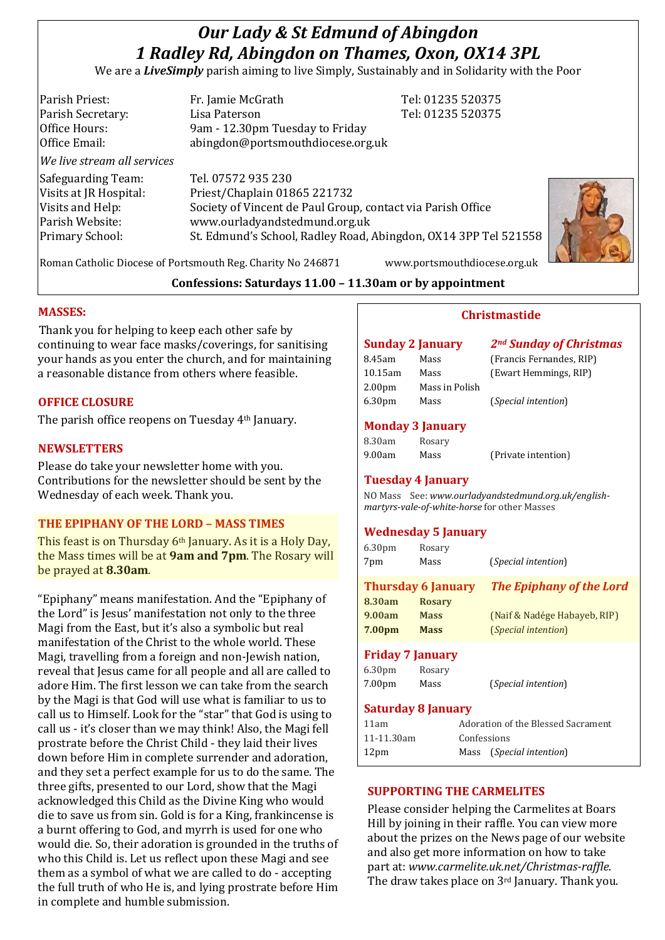# *Our Lady & St Edmund of Abingdon 1 Radley Rd, Abingdon on Thames, Oxon, OX14 3PL*

We are a *LiveSimply* parish aiming to live Simply, Sustainably and in Solidarity with the Poor

| Parish Priest:              | Fr. Jamie McGrath                                               | Tel: 01235 520375 |
|-----------------------------|-----------------------------------------------------------------|-------------------|
| Parish Secretary:           | Lisa Paterson                                                   | Tel: 01235 520375 |
| Office Hours:               | 9am - 12.30pm Tuesday to Friday                                 |                   |
| Office Email:               | abingdon@portsmouthdiocese.org.uk                               |                   |
| We live stream all services |                                                                 |                   |
| Safeguarding Team:          | Tel. 07572 935 230                                              |                   |
| Visits at JR Hospital:      | Priest/Chaplain 01865 221732                                    |                   |
| Visits and Help:            | Society of Vincent de Paul Group, contact via Parish Office     |                   |
| Parish Website:             | www.ourladyandstedmund.org.uk                                   |                   |
| Primary School:             | St. Edmund's School, Radley Road, Abingdon, OX14 3PP Tel 521558 |                   |
|                             |                                                                 |                   |
|                             |                                                                 |                   |



Roman Catholic Diocese of Portsmouth Reg. Charity No 246871 www.portsmouthdiocese.org.uk

## **Confessions: Saturdays 11.00 – 11.30am or by appointment**

## **MASSES:**

Thank you for helping to keep each other safe by continuing to wear face masks/coverings, for sanitising your hands as you enter the church, and for maintaining a reasonable distance from others where feasible.

## **OFFICE CLOSURE**

The parish office reopens on Tuesday 4th January.

#### **NEWSLETTERS**

Please do take your newsletter home with you. Contributions for the newsletter should be sent by the Wednesday of each week. Thank you.

## **THE EPIPHANY OF THE LORD – MASS TIMES**

This feast is on Thursday 6th January. As it is a Holy Day, the Mass times will be at **9am and 7pm**. The Rosary will be prayed at **8.30am**.

"Epiphany" means manifestation. And the "Epiphany of the Lord" is Jesus' manifestation not only to the three Magi from the East, but it's also a symbolic but real manifestation of the Christ to the whole world. These Magi, travelling from a foreign and non-Jewish nation, reveal that Jesus came for all people and all are called to adore Him. The first lesson we can take from the search by the Magi is that God will use what is familiar to us to call us to Himself. Look for the "star" that God is using to call us - it's closer than we may think! Also, the Magi fell prostrate before the Christ Child - they laid their lives down before Him in complete surrender and adoration, and they set a perfect example for us to do the same. The three gifts, presented to our Lord, show that the Magi acknowledged this Child as the Divine King who would die to save us from sin. Gold is for a King, frankincense is a burnt offering to God, and myrrh is used for one who would die. So, their adoration is grounded in the truths of who this Child is. Let us reflect upon these Magi and see them as a symbol of what we are called to do - accepting the full truth of who He is, and lying prostrate before Him in complete and humble submission.

#### **Christmastide**

| Sunday 2 January   |                | 2 <sup>nd</sup> Sunday of Christmas |
|--------------------|----------------|-------------------------------------|
| 8.45am             | Mass           | (Francis Fernandes, RIP)            |
| 10.15am            | Mass           | (Ewart Hemmings, RIP)               |
| 2.00 <sub>pm</sub> | Mass in Polish |                                     |
| 6.30pm             | Mass           | <i>(Special intention)</i>          |

#### **Monday 3 January**

| 8.30am | Rosary |                     |
|--------|--------|---------------------|
| 9.00am | Mass   | (Private intention) |

#### **Tuesday 4 January**

NO Mass See: *www.ourladyandstedmund.org.uk/englishmartyrs-vale-of-white-horse* for other Masses

### **Wednesday 5 January**

| 6.30 <sub>pm</sub> | Rosary                    |                                 |
|--------------------|---------------------------|---------------------------------|
| 7pm                | Mass                      | (Special intention)             |
|                    | <b>Thursday 6 January</b> | <b>The Epiphany of the Lord</b> |
| 8.30am             | <b>Rosary</b>             |                                 |
| 9.00am             | <b>Mass</b>               | (Naif & Nadége Habayeb, RIP)    |
| 7.00 <sub>pm</sub> | <b>Mass</b>               | <i>(Special intention)</i>      |
|                    | <b>Friday 7 January</b>   |                                 |
| 6.30 <sub>pm</sub> | Rosary                    |                                 |
| 7.00 <sub>pm</sub> | Mass                      | (Special intention)             |

### **Saturday 8 January**

| 11am             | Adoration of the Blessed Sacrament |                          |
|------------------|------------------------------------|--------------------------|
| 11-11.30am       | Confessions                        |                          |
| 12 <sub>pm</sub> |                                    | Mass (Special intention) |

### **SUPPORTING THE CARMELITES**

Please consider helping the Carmelites at Boars Hill by joining in their raffle. You can view more about the prizes on the News page of our website and also get more information on how to take part at: *www.carmelite.uk.net/Christmas-raffle*. The draw takes place on 3rd January. Thank you.